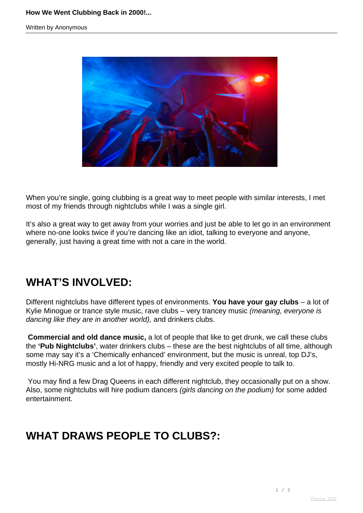

When you're single, going clubbing is a great way to meet people with similar interests, I met most of my friends through nightclubs while I was a single girl.

It's also a great way to get away from your worries and just be able to let go in an environment where no-one looks twice if you're dancing like an idiot, talking to everyone and anyone, generally, just having a great time with not a care in the world.

### **WHAT'S INVOLVED:**

Different nightclubs have different types of environments. **You have your gay clubs** – a lot of Kylie Minogue or trance style music, rave clubs - very trancey music (meaning, everyone is dancing like they are in another world), and drinkers clubs.

**Commercial and old dance music,** a lot of people that like to get drunk, we call these clubs the **'Pub Nightclubs'**, water drinkers clubs – these are the best nightclubs of all time, although some may say it's a 'Chemically enhanced' environment, but the music is unreal, top DJ's, mostly Hi-NRG music and a lot of happy, friendly and very excited people to talk to.

 You may find a few Drag Queens in each different nightclub, they occasionally put on a show. Also, some nightclubs will hire podium dancers *(girls dancing on the podium)* for some added entertainment.

# **WHAT DRAWS PEOPLE TO CLUBS?:**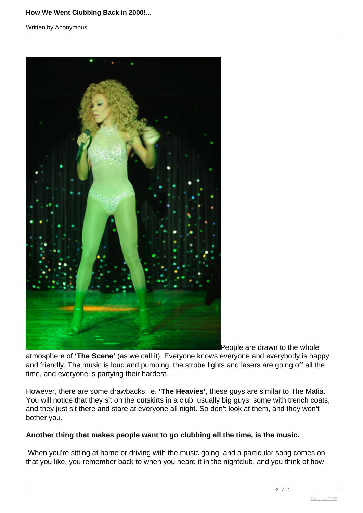#### **How We Went Clubbing Back in 2000!...**

Written by Anonymous



People are drawn to the whole

atmosphere of **'The Scene'** (as we call it). Everyone knows everyone and everybody is happy and friendly. The music is loud and pumping, the strobe lights and lasers are going off all the time, and everyone is partying their hardest.

However, there are some drawbacks, ie. **'The Heavies'**, these guys are similar to The [Mafia.](http://www.phoca.cz/phocapdf) You will notice that they sit on the outskirts in a club, usually big guys, some with trench coats, and they just sit there and stare at everyone all night. So don't look at them, and they won't bother you.

#### **Another thing that makes people want to go clubbing all the time, is the music.**

 When you're sitting at home or driving with the music going, and a particular song comes on that you like, you remember back to when you heard it in the nightclub, and you think of how